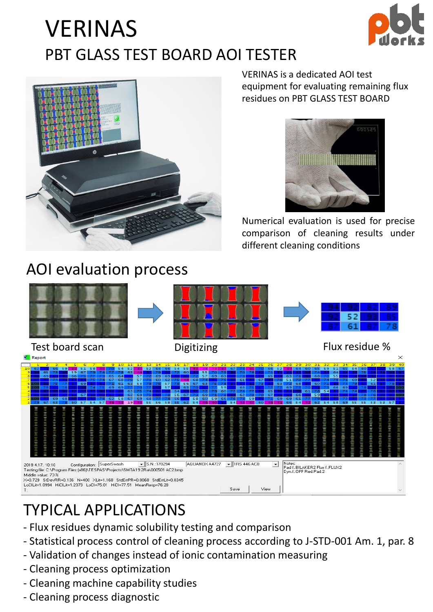## VERINAS PBT GLASS TEST BOARD AOI TESTER





VERINAS is a dedicated AOI test equipment for evaluating remaining flux residues on PBT GLASS TEST BOARD



Numerical evaluation is used for precise comparison of cleaning results under different cleaning conditions



### TYPICAL APPLICATIONS

- Flux residues dynamic solubility testing and comparison
- Statistical process control of cleaning process according to J-STD-001 Am. 1, par. 8
- Validation of changes instead of ionic contamination measuring
- Cleaning process optimization
- Cleaning machine capability studies
- Cleaning process diagnostic